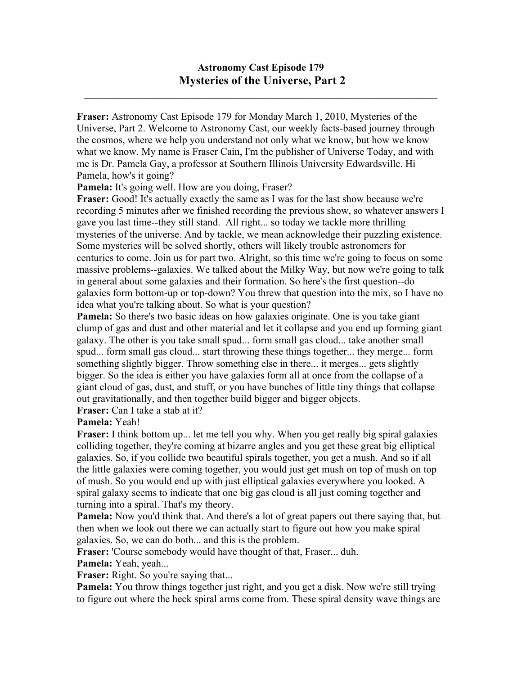## **Astronomy Cast Episode 179 Mysteries of the Universe, Part 2**

 $\mathcal{L}_\mathcal{L} = \mathcal{L}_\mathcal{L} = \mathcal{L}_\mathcal{L} = \mathcal{L}_\mathcal{L} = \mathcal{L}_\mathcal{L} = \mathcal{L}_\mathcal{L} = \mathcal{L}_\mathcal{L} = \mathcal{L}_\mathcal{L} = \mathcal{L}_\mathcal{L} = \mathcal{L}_\mathcal{L} = \mathcal{L}_\mathcal{L} = \mathcal{L}_\mathcal{L} = \mathcal{L}_\mathcal{L} = \mathcal{L}_\mathcal{L} = \mathcal{L}_\mathcal{L} = \mathcal{L}_\mathcal{L} = \mathcal{L}_\mathcal{L}$ 

**Fraser:** Astronomy Cast Episode 179 for Monday March 1, 2010, Mysteries of the Universe, Part 2. Welcome to Astronomy Cast, our weekly facts-based journey through the cosmos, where we help you understand not only what we know, but how we know what we know. My name is Fraser Cain, I'm the publisher of Universe Today, and with me is Dr. Pamela Gay, a professor at Southern Illinois University Edwardsville. Hi Pamela, how's it going?

Pamela: It's going well. How are you doing, Fraser?

**Fraser:** Good! It's actually exactly the same as I was for the last show because we're recording 5 minutes after we finished recording the previous show, so whatever answers I gave you last time--they still stand. All right... so today we tackle more thrilling mysteries of the universe. And by tackle, we mean acknowledge their puzzling existence. Some mysteries will be solved shortly, others will likely trouble astronomers for centuries to come. Join us for part two. Alright, so this time we're going to focus on some massive problems--galaxies. We talked about the Milky Way, but now we're going to talk in general about some galaxies and their formation. So here's the first question--do galaxies form bottom-up or top-down? You threw that question into the mix, so I have no idea what you're talking about. So what is your question?

**Pamela:** So there's two basic ideas on how galaxies originate. One is you take giant clump of gas and dust and other material and let it collapse and you end up forming giant galaxy. The other is you take small spud... form small gas cloud... take another small spud... form small gas cloud... start throwing these things together... they merge... form something slightly bigger. Throw something else in there... it merges... gets slightly bigger. So the idea is either you have galaxies form all at once from the collapse of a giant cloud of gas, dust, and stuff, or you have bunches of little tiny things that collapse out gravitationally, and then together build bigger and bigger objects.

**Fraser:** Can I take a stab at it?

**Pamela:** Yeah!

**Fraser:** I think bottom up... let me tell you why. When you get really big spiral galaxies colliding together, they're coming at bizarre angles and you get these great big elliptical galaxies. So, if you collide two beautiful spirals together, you get a mush. And so if all the little galaxies were coming together, you would just get mush on top of mush on top of mush. So you would end up with just elliptical galaxies everywhere you looked. A spiral galaxy seems to indicate that one big gas cloud is all just coming together and turning into a spiral. That's my theory.

**Pamela:** Now you'd think that. And there's a lot of great papers out there saying that, but then when we look out there we can actually start to figure out how you make spiral galaxies. So, we can do both... and this is the problem.

**Fraser:** 'Course somebody would have thought of that, Fraser... duh.

**Pamela:** Yeah, yeah...

**Fraser:** Right. So you're saying that...

**Pamela:** You throw things together just right, and you get a disk. Now we're still trying to figure out where the heck spiral arms come from. These spiral density wave things are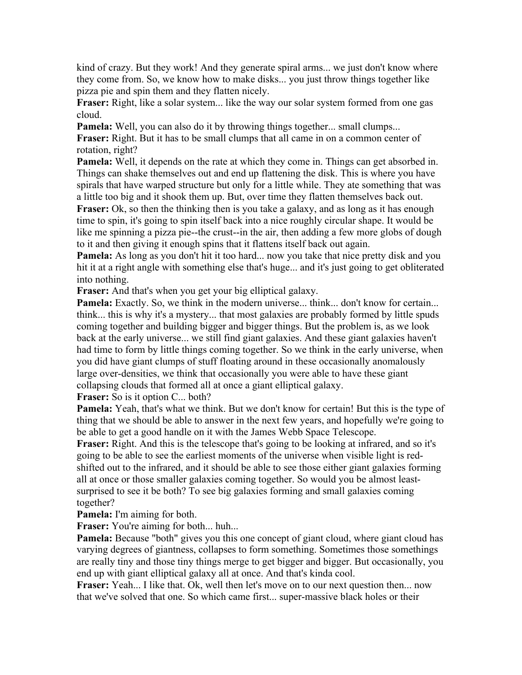kind of crazy. But they work! And they generate spiral arms... we just don't know where they come from. So, we know how to make disks... you just throw things together like pizza pie and spin them and they flatten nicely.

**Fraser:** Right, like a solar system... like the way our solar system formed from one gas cloud.

**Pamela:** Well, you can also do it by throwing things together... small clumps...

**Fraser:** Right. But it has to be small clumps that all came in on a common center of rotation, right?

**Pamela:** Well, it depends on the rate at which they come in. Things can get absorbed in. Things can shake themselves out and end up flattening the disk. This is where you have spirals that have warped structure but only for a little while. They ate something that was a little too big and it shook them up. But, over time they flatten themselves back out.

**Fraser:** Ok, so then the thinking then is you take a galaxy, and as long as it has enough time to spin, it's going to spin itself back into a nice roughly circular shape. It would be like me spinning a pizza pie--the crust--in the air, then adding a few more globs of dough to it and then giving it enough spins that it flattens itself back out again.

**Pamela:** As long as you don't hit it too hard... now you take that nice pretty disk and you hit it at a right angle with something else that's huge... and it's just going to get obliterated into nothing.

**Fraser:** And that's when you get your big elliptical galaxy.

**Pamela:** Exactly. So, we think in the modern universe... think... don't know for certain... think... this is why it's a mystery... that most galaxies are probably formed by little spuds coming together and building bigger and bigger things. But the problem is, as we look back at the early universe... we still find giant galaxies. And these giant galaxies haven't had time to form by little things coming together. So we think in the early universe, when you did have giant clumps of stuff floating around in these occasionally anomalously large over-densities, we think that occasionally you were able to have these giant collapsing clouds that formed all at once a giant elliptical galaxy.

**Fraser:** So is it option C... both?

**Pamela:** Yeah, that's what we think. But we don't know for certain! But this is the type of thing that we should be able to answer in the next few years, and hopefully we're going to be able to get a good handle on it with the James Webb Space Telescope.

**Fraser:** Right. And this is the telescope that's going to be looking at infrared, and so it's going to be able to see the earliest moments of the universe when visible light is redshifted out to the infrared, and it should be able to see those either giant galaxies forming all at once or those smaller galaxies coming together. So would you be almost leastsurprised to see it be both? To see big galaxies forming and small galaxies coming together?

**Pamela:** I'm aiming for both.

**Fraser:** You're aiming for both... huh...

**Pamela:** Because "both" gives you this one concept of giant cloud, where giant cloud has varying degrees of giantness, collapses to form something. Sometimes those somethings are really tiny and those tiny things merge to get bigger and bigger. But occasionally, you end up with giant elliptical galaxy all at once. And that's kinda cool.

**Fraser:** Yeah... I like that. Ok, well then let's move on to our next question then... now that we've solved that one. So which came first... super-massive black holes or their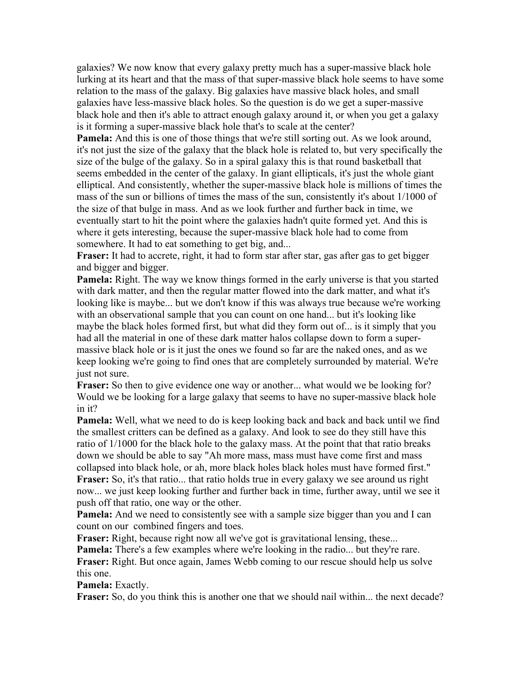galaxies? We now know that every galaxy pretty much has a super-massive black hole lurking at its heart and that the mass of that super-massive black hole seems to have some relation to the mass of the galaxy. Big galaxies have massive black holes, and small galaxies have less-massive black holes. So the question is do we get a super-massive black hole and then it's able to attract enough galaxy around it, or when you get a galaxy is it forming a super-massive black hole that's to scale at the center?

**Pamela:** And this is one of those things that we're still sorting out. As we look around, it's not just the size of the galaxy that the black hole is related to, but very specifically the size of the bulge of the galaxy. So in a spiral galaxy this is that round basketball that seems embedded in the center of the galaxy. In giant ellipticals, it's just the whole giant elliptical. And consistently, whether the super-massive black hole is millions of times the mass of the sun or billions of times the mass of the sun, consistently it's about 1/1000 of the size of that bulge in mass. And as we look further and further back in time, we eventually start to hit the point where the galaxies hadn't quite formed yet. And this is where it gets interesting, because the super-massive black hole had to come from somewhere. It had to eat something to get big, and...

**Fraser:** It had to accrete, right, it had to form star after star, gas after gas to get bigger and bigger and bigger.

**Pamela:** Right. The way we know things formed in the early universe is that you started with dark matter, and then the regular matter flowed into the dark matter, and what it's looking like is maybe... but we don't know if this was always true because we're working with an observational sample that you can count on one hand... but it's looking like maybe the black holes formed first, but what did they form out of... is it simply that you had all the material in one of these dark matter halos collapse down to form a supermassive black hole or is it just the ones we found so far are the naked ones, and as we keep looking we're going to find ones that are completely surrounded by material. We're just not sure.

**Fraser:** So then to give evidence one way or another... what would we be looking for? Would we be looking for a large galaxy that seems to have no super-massive black hole in it?

**Pamela:** Well, what we need to do is keep looking back and back and back until we find the smallest critters can be defined as a galaxy. And look to see do they still have this ratio of 1/1000 for the black hole to the galaxy mass. At the point that that ratio breaks down we should be able to say "Ah more mass, mass must have come first and mass collapsed into black hole, or ah, more black holes black holes must have formed first." **Fraser:** So, it's that ratio... that ratio holds true in every galaxy we see around us right now... we just keep looking further and further back in time, further away, until we see it push off that ratio, one way or the other.

**Pamela:** And we need to consistently see with a sample size bigger than you and I can count on our combined fingers and toes.

**Fraser:** Right, because right now all we've got is gravitational lensing, these...

**Pamela:** There's a few examples where we're looking in the radio... but they're rare. **Fraser:** Right. But once again, James Webb coming to our rescue should help us solve this one.

**Pamela:** Exactly.

**Fraser:** So, do you think this is another one that we should nail within... the next decade?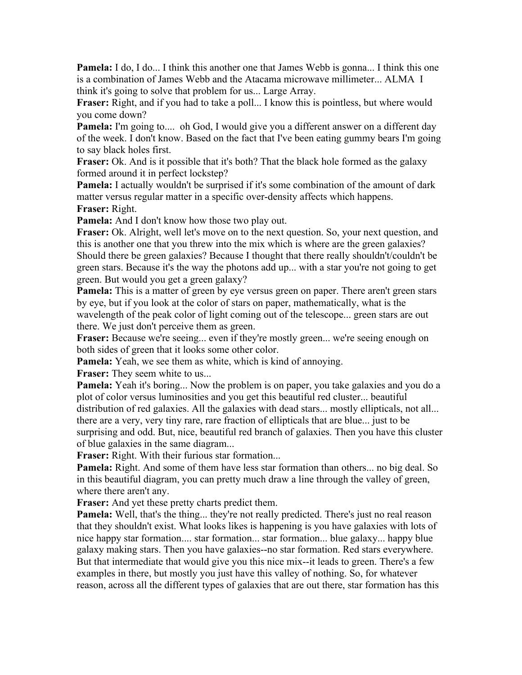**Pamela:** I do, I do... I think this another one that James Webb is gonna... I think this one is a combination of James Webb and the Atacama microwave millimeter... ALMA I think it's going to solve that problem for us... Large Array.

**Fraser:** Right, and if you had to take a poll... I know this is pointless, but where would you come down?

**Pamela:** I'm going to.... oh God, I would give you a different answer on a different day of the week. I don't know. Based on the fact that I've been eating gummy bears I'm going to say black holes first.

**Fraser:** Ok. And is it possible that it's both? That the black hole formed as the galaxy formed around it in perfect lockstep?

**Pamela:** I actually wouldn't be surprised if it's some combination of the amount of dark matter versus regular matter in a specific over-density affects which happens.

**Fraser:** Right.

**Pamela:** And I don't know how those two play out.

**Fraser:** Ok. Alright, well let's move on to the next question. So, your next question, and this is another one that you threw into the mix which is where are the green galaxies? Should there be green galaxies? Because I thought that there really shouldn't/couldn't be green stars. Because it's the way the photons add up... with a star you're not going to get green. But would you get a green galaxy?

**Pamela:** This is a matter of green by eye versus green on paper. There aren't green stars by eye, but if you look at the color of stars on paper, mathematically, what is the wavelength of the peak color of light coming out of the telescope... green stars are out there. We just don't perceive them as green.

**Fraser:** Because we're seeing... even if they're mostly green... we're seeing enough on both sides of green that it looks some other color.

**Pamela:** Yeah, we see them as white, which is kind of annoying.

**Fraser:** They seem white to us...

**Pamela:** Yeah it's boring... Now the problem is on paper, you take galaxies and you do a plot of color versus luminosities and you get this beautiful red cluster... beautiful distribution of red galaxies. All the galaxies with dead stars... mostly ellipticals, not all... there are a very, very tiny rare, rare fraction of ellipticals that are blue... just to be surprising and odd. But, nice, beautiful red branch of galaxies. Then you have this cluster of blue galaxies in the same diagram...

**Fraser:** Right. With their furious star formation...

**Pamela:** Right. And some of them have less star formation than others... no big deal. So in this beautiful diagram, you can pretty much draw a line through the valley of green, where there aren't any.

**Fraser:** And yet these pretty charts predict them.

Pamela: Well, that's the thing... they're not really predicted. There's just no real reason that they shouldn't exist. What looks likes is happening is you have galaxies with lots of nice happy star formation.... star formation... star formation... blue galaxy... happy blue galaxy making stars. Then you have galaxies--no star formation. Red stars everywhere. But that intermediate that would give you this nice mix--it leads to green. There's a few examples in there, but mostly you just have this valley of nothing. So, for whatever reason, across all the different types of galaxies that are out there, star formation has this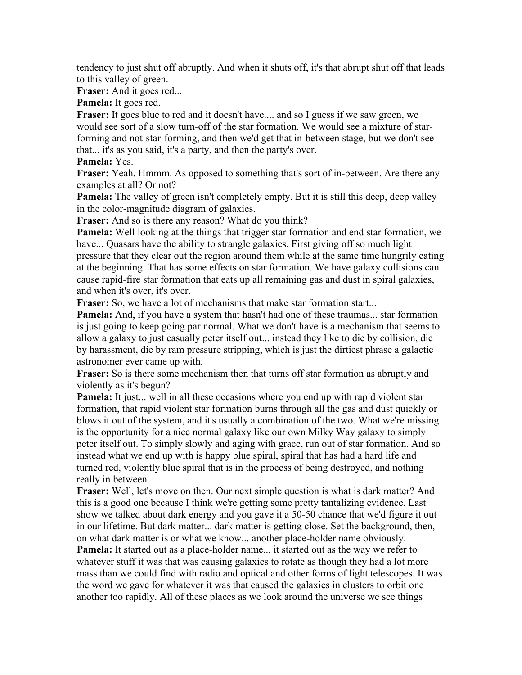tendency to just shut off abruptly. And when it shuts off, it's that abrupt shut off that leads to this valley of green.

**Fraser:** And it goes red...

**Pamela:** It goes red.

Fraser: It goes blue to red and it doesn't have.... and so I guess if we saw green, we would see sort of a slow turn-off of the star formation. We would see a mixture of starforming and not-star-forming, and then we'd get that in-between stage, but we don't see that... it's as you said, it's a party, and then the party's over.

**Pamela:** Yes.

**Fraser:** Yeah. Hmmm. As opposed to something that's sort of in-between. Are there any examples at all? Or not?

**Pamela:** The valley of green isn't completely empty. But it is still this deep, deep valley in the color-magnitude diagram of galaxies.

**Fraser:** And so is there any reason? What do you think?

**Pamela:** Well looking at the things that trigger star formation and end star formation, we have... Quasars have the ability to strangle galaxies. First giving off so much light pressure that they clear out the region around them while at the same time hungrily eating at the beginning. That has some effects on star formation. We have galaxy collisions can cause rapid-fire star formation that eats up all remaining gas and dust in spiral galaxies, and when it's over, it's over.

**Fraser:** So, we have a lot of mechanisms that make star formation start...

**Pamela:** And, if you have a system that hasn't had one of these traumas... star formation is just going to keep going par normal. What we don't have is a mechanism that seems to allow a galaxy to just casually peter itself out... instead they like to die by collision, die by harassment, die by ram pressure stripping, which is just the dirtiest phrase a galactic astronomer ever came up with.

**Fraser:** So is there some mechanism then that turns off star formation as abruptly and violently as it's begun?

**Pamela:** It just... well in all these occasions where you end up with rapid violent star formation, that rapid violent star formation burns through all the gas and dust quickly or blows it out of the system, and it's usually a combination of the two. What we're missing is the opportunity for a nice normal galaxy like our own Milky Way galaxy to simply peter itself out. To simply slowly and aging with grace, run out of star formation. And so instead what we end up with is happy blue spiral, spiral that has had a hard life and turned red, violently blue spiral that is in the process of being destroyed, and nothing really in between.

**Fraser:** Well, let's move on then. Our next simple question is what is dark matter? And this is a good one because I think we're getting some pretty tantalizing evidence. Last show we talked about dark energy and you gave it a 50-50 chance that we'd figure it out in our lifetime. But dark matter... dark matter is getting close. Set the background, then, on what dark matter is or what we know... another place-holder name obviously. **Pamela:** It started out as a place-holder name... it started out as the way we refer to whatever stuff it was that was causing galaxies to rotate as though they had a lot more mass than we could find with radio and optical and other forms of light telescopes. It was the word we gave for whatever it was that caused the galaxies in clusters to orbit one another too rapidly. All of these places as we look around the universe we see things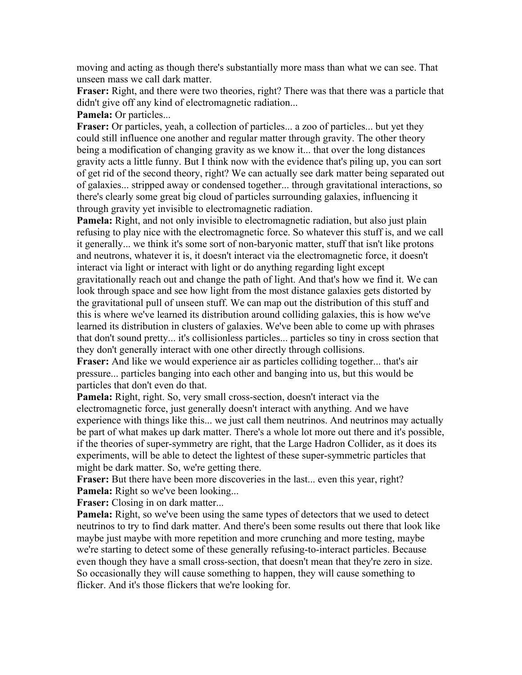moving and acting as though there's substantially more mass than what we can see. That unseen mass we call dark matter.

**Fraser:** Right, and there were two theories, right? There was that there was a particle that didn't give off any kind of electromagnetic radiation...

**Pamela:** Or particles...

**Fraser:** Or particles, yeah, a collection of particles... a zoo of particles... but yet they could still influence one another and regular matter through gravity. The other theory being a modification of changing gravity as we know it... that over the long distances gravity acts a little funny. But I think now with the evidence that's piling up, you can sort of get rid of the second theory, right? We can actually see dark matter being separated out of galaxies... stripped away or condensed together... through gravitational interactions, so there's clearly some great big cloud of particles surrounding galaxies, influencing it through gravity yet invisible to electromagnetic radiation.

**Pamela:** Right, and not only invisible to electromagnetic radiation, but also just plain refusing to play nice with the electromagnetic force. So whatever this stuff is, and we call it generally... we think it's some sort of non-baryonic matter, stuff that isn't like protons and neutrons, whatever it is, it doesn't interact via the electromagnetic force, it doesn't interact via light or interact with light or do anything regarding light except gravitationally reach out and change the path of light. And that's how we find it. We can look through space and see how light from the most distance galaxies gets distorted by the gravitational pull of unseen stuff. We can map out the distribution of this stuff and this is where we've learned its distribution around colliding galaxies, this is how we've learned its distribution in clusters of galaxies. We've been able to come up with phrases that don't sound pretty... it's collisionless particles... particles so tiny in cross section that they don't generally interact with one other directly through collisions.

**Fraser:** And like we would experience air as particles colliding together... that's air pressure... particles banging into each other and banging into us, but this would be particles that don't even do that.

**Pamela:** Right, right. So, very small cross-section, doesn't interact via the electromagnetic force, just generally doesn't interact with anything. And we have experience with things like this... we just call them neutrinos. And neutrinos may actually be part of what makes up dark matter. There's a whole lot more out there and it's possible, if the theories of super-symmetry are right, that the Large Hadron Collider, as it does its experiments, will be able to detect the lightest of these super-symmetric particles that might be dark matter. So, we're getting there.

**Fraser:** But there have been more discoveries in the last... even this year, right? **Pamela:** Right so we've been looking...

**Fraser:** Closing in on dark matter...

**Pamela:** Right, so we've been using the same types of detectors that we used to detect neutrinos to try to find dark matter. And there's been some results out there that look like maybe just maybe with more repetition and more crunching and more testing, maybe we're starting to detect some of these generally refusing-to-interact particles. Because even though they have a small cross-section, that doesn't mean that they're zero in size. So occasionally they will cause something to happen, they will cause something to flicker. And it's those flickers that we're looking for.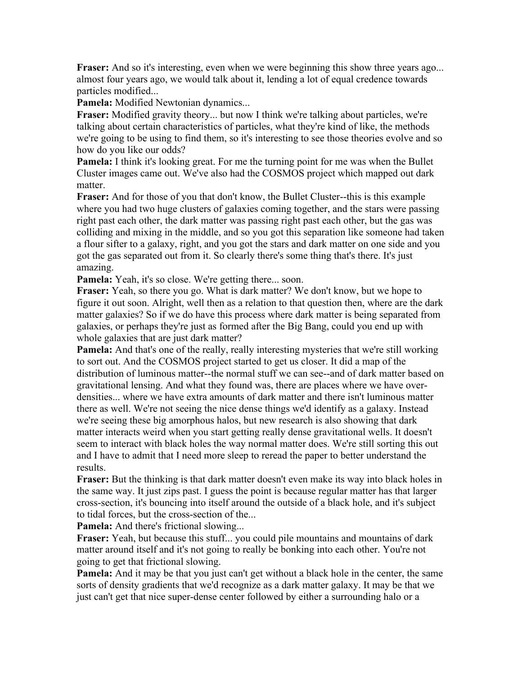**Fraser:** And so it's interesting, even when we were beginning this show three years ago... almost four years ago, we would talk about it, lending a lot of equal credence towards particles modified...

**Pamela:** Modified Newtonian dynamics...

**Fraser:** Modified gravity theory... but now I think we're talking about particles, we're talking about certain characteristics of particles, what they're kind of like, the methods we're going to be using to find them, so it's interesting to see those theories evolve and so how do you like our odds?

**Pamela:** I think it's looking great. For me the turning point for me was when the Bullet Cluster images came out. We've also had the COSMOS project which mapped out dark matter.

**Fraser:** And for those of you that don't know, the Bullet Cluster--this is this example where you had two huge clusters of galaxies coming together, and the stars were passing right past each other, the dark matter was passing right past each other, but the gas was colliding and mixing in the middle, and so you got this separation like someone had taken a flour sifter to a galaxy, right, and you got the stars and dark matter on one side and you got the gas separated out from it. So clearly there's some thing that's there. It's just amazing.

**Pamela:** Yeah, it's so close. We're getting there... soon.

**Fraser:** Yeah, so there you go. What is dark matter? We don't know, but we hope to figure it out soon. Alright, well then as a relation to that question then, where are the dark matter galaxies? So if we do have this process where dark matter is being separated from galaxies, or perhaps they're just as formed after the Big Bang, could you end up with whole galaxies that are just dark matter?

**Pamela:** And that's one of the really, really interesting mysteries that we're still working to sort out. And the COSMOS project started to get us closer. It did a map of the distribution of luminous matter--the normal stuff we can see--and of dark matter based on gravitational lensing. And what they found was, there are places where we have overdensities... where we have extra amounts of dark matter and there isn't luminous matter there as well. We're not seeing the nice dense things we'd identify as a galaxy. Instead we're seeing these big amorphous halos, but new research is also showing that dark matter interacts weird when you start getting really dense gravitational wells. It doesn't seem to interact with black holes the way normal matter does. We're still sorting this out and I have to admit that I need more sleep to reread the paper to better understand the results.

**Fraser:** But the thinking is that dark matter doesn't even make its way into black holes in the same way. It just zips past. I guess the point is because regular matter has that larger cross-section, it's bouncing into itself around the outside of a black hole, and it's subject to tidal forces, but the cross-section of the...

**Pamela:** And there's frictional slowing...

**Fraser:** Yeah, but because this stuff... you could pile mountains and mountains of dark matter around itself and it's not going to really be bonking into each other. You're not going to get that frictional slowing.

**Pamela:** And it may be that you just can't get without a black hole in the center, the same sorts of density gradients that we'd recognize as a dark matter galaxy. It may be that we just can't get that nice super-dense center followed by either a surrounding halo or a